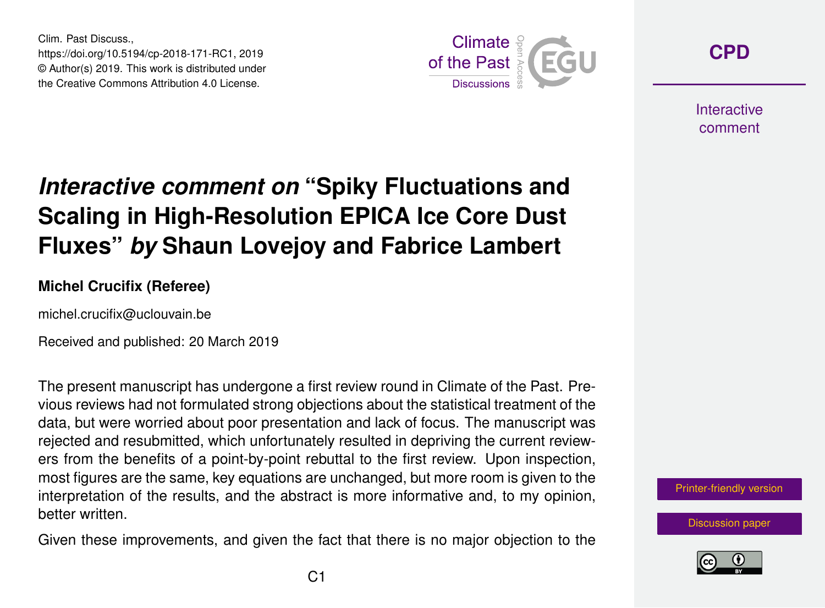Clim. Past Discuss., https://doi.org/10.5194/cp-2018-171-RC1, 2019 © Author(s) 2019. This work is distributed under the Creative Commons Attribution 4.0 License.



**[CPD](https://www.clim-past-discuss.net/)**

**Interactive** comment

## *Interactive comment on* **"Spiky Fluctuations and Scaling in High-Resolution EPICA Ice Core Dust Fluxes"** *by* **Shaun Lovejoy and Fabrice Lambert**

## **Michel Crucifix (Referee)**

michel.crucifix@uclouvain.be

Received and published: 20 March 2019

The present manuscript has undergone a first review round in Climate of the Past. Previous reviews had not formulated strong objections about the statistical treatment of the data, but were worried about poor presentation and lack of focus. The manuscript was rejected and resubmitted, which unfortunately resulted in depriving the current reviewers from the benefits of a point-by-point rebuttal to the first review. Upon inspection, most figures are the same, key equations are unchanged, but more room is given to the interpretation of the results, and the abstract is more informative and, to my opinion, better written.

Given these improvements, and given the fact that there is no major objection to the



[Discussion paper](https://www.clim-past-discuss.net/cp-2018-171)

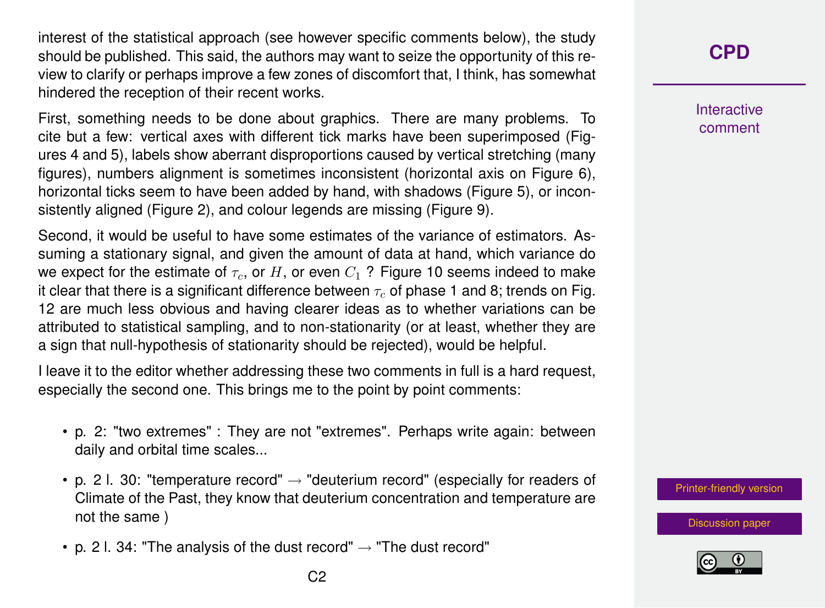interest of the statistical approach (see however specific comments below), the study should be published. This said, the authors may want to seize the opportunity of this review to clarify or perhaps improve a few zones of discomfort that, I think, has somewhat hindered the reception of their recent works.

First, something needs to be done about graphics. There are many problems. To cite but a few: vertical axes with different tick marks have been superimposed (Figures 4 and 5), labels show aberrant disproportions caused by vertical stretching (many figures), numbers alignment is sometimes inconsistent (horizontal axis on Figure 6), horizontal ticks seem to have been added by hand, with shadows (Figure 5), or inconsistently aligned (Figure 2), and colour legends are missing (Figure 9).

Second, it would be useful to have some estimates of the variance of estimators. Assuming a stationary signal, and given the amount of data at hand, which variance do we expect for the estimate of  $\tau_c$ , or H, or even  $C_1$  ? Figure 10 seems indeed to make it clear that there is a significant difference between  $\tau_c$  of phase 1 and 8; trends on Fig. 12 are much less obvious and having clearer ideas as to whether variations can be attributed to statistical sampling, and to non-stationarity (or at least, whether they are a sign that null-hypothesis of stationarity should be rejected), would be helpful.

I leave it to the editor whether addressing these two comments in full is a hard request, especially the second one. This brings me to the point by point comments:

- p. 2: "two extremes" : They are not "extremes". Perhaps write again: between daily and orbital time scales...
- p. 2 l. 30: "temperature record"  $\rightarrow$  "deuterium record" (especially for readers of Climate of the Past, they know that deuterium concentration and temperature are not the same )
- p. 2 l. 34: "The analysis of the dust record"  $\rightarrow$  "The dust record"

**Interactive** comment

[Printer-friendly version](https://www.clim-past-discuss.net/cp-2018-171/cp-2018-171-RC1-print.pdf)